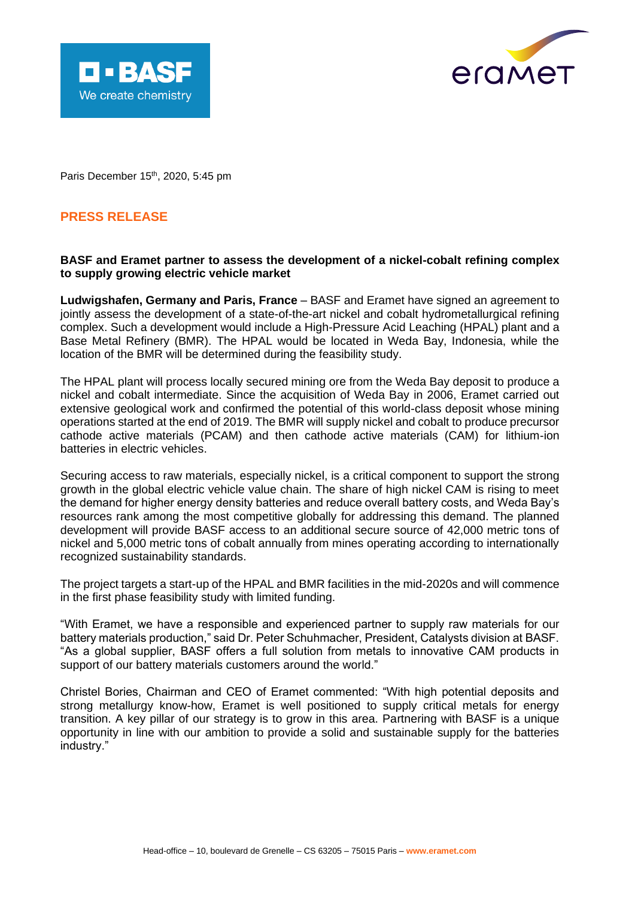



Paris December 15<sup>th</sup>, 2020, 5:45 pm

# **PRESS RELEASE**

# **BASF and Eramet partner to assess the development of a nickel-cobalt refining complex to supply growing electric vehicle market**

**Ludwigshafen, Germany and Paris, France** – BASF and Eramet have signed an agreement to jointly assess the development of a state-of-the-art nickel and cobalt hydrometallurgical refining complex. Such a development would include a High-Pressure Acid Leaching (HPAL) plant and a Base Metal Refinery (BMR). The HPAL would be located in Weda Bay, Indonesia, while the location of the BMR will be determined during the feasibility study.

The HPAL plant will process locally secured mining ore from the Weda Bay deposit to produce a nickel and cobalt intermediate. Since the acquisition of Weda Bay in 2006, Eramet carried out extensive geological work and confirmed the potential of this world-class deposit whose mining operations started at the end of 2019. The BMR will supply nickel and cobalt to produce precursor cathode active materials (PCAM) and then cathode active materials (CAM) for lithium-ion batteries in electric vehicles.

Securing access to raw materials, especially nickel, is a critical component to support the strong growth in the global electric vehicle value chain. The share of high nickel CAM is rising to meet the demand for higher energy density batteries and reduce overall battery costs, and Weda Bay's resources rank among the most competitive globally for addressing this demand. The planned development will provide BASF access to an additional secure source of 42,000 metric tons of nickel and 5,000 metric tons of cobalt annually from mines operating according to internationally recognized sustainability standards.

The project targets a start-up of the HPAL and BMR facilities in the mid-2020s and will commence in the first phase feasibility study with limited funding.

"With Eramet, we have a responsible and experienced partner to supply raw materials for our battery materials production," said Dr. Peter Schuhmacher, President, Catalysts division at BASF. "As a global supplier, BASF offers a full solution from metals to innovative CAM products in support of our battery materials customers around the world."

Christel Bories, Chairman and CEO of Eramet commented: "With high potential deposits and strong metallurgy know-how, Eramet is well positioned to supply critical metals for energy transition. A key pillar of our strategy is to grow in this area. Partnering with BASF is a unique opportunity in line with our ambition to provide a solid and sustainable supply for the batteries industry."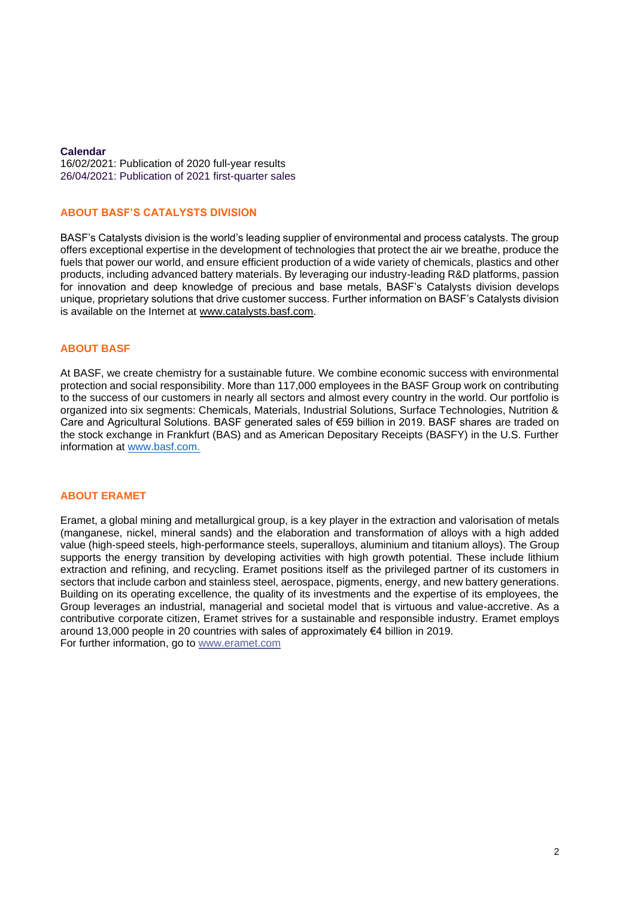# **Calendar**

16/02/2021: Publication of 2020 full-year results 26/04/2021: Publication of 2021 first-quarter sales

#### **ABOUT BASF'S CATALYSTS DIVISION**

BASF's Catalysts division is the world's leading supplier of environmental and process catalysts. The group offers exceptional expertise in the development of technologies that protect the air we breathe, produce the fuels that power our world, and ensure efficient production of a wide variety of chemicals, plastics and other products, including advanced battery materials. By leveraging our industry-leading R&D platforms, passion for innovation and deep knowledge of precious and base metals, BASF's Catalysts division develops unique, proprietary solutions that drive customer success. Further information on BASF's Catalysts division is available on the Internet at [www.catalysts.basf.com.](http://www.catalysts.basf.com/)

## **ABOUT BASF**

At BASF, we create chemistry for a sustainable future. We combine economic success with environmental protection and social responsibility. More than 117,000 employees in the BASF Group work on contributing to the success of our customers in nearly all sectors and almost every country in the world. Our portfolio is organized into six segments: Chemicals, Materials, Industrial Solutions, Surface Technologies, Nutrition & Care and Agricultural Solutions. BASF generated sales of €59 billion in 2019. BASF shares are traded on the stock exchange in Frankfurt (BAS) and as American Depositary Receipts (BASFY) in the U.S. Further information at [www.basf.com.](http://www.basf.com/)

#### **ABOUT ERAMET**

Eramet, a global mining and metallurgical group, is a key player in the extraction and valorisation of metals (manganese, nickel, mineral sands) and the elaboration and transformation of alloys with a high added value (high-speed steels, high-performance steels, superalloys, aluminium and titanium alloys). The Group supports the energy transition by developing activities with high growth potential. These include lithium extraction and refining, and recycling. Eramet positions itself as the privileged partner of its customers in sectors that include carbon and stainless steel, aerospace, pigments, energy, and new battery generations. Building on its operating excellence, the quality of its investments and the expertise of its employees, the Group leverages an industrial, managerial and societal model that is virtuous and value-accretive. As a contributive corporate citizen, Eramet strives for a sustainable and responsible industry. Eramet employs around 13,000 people in 20 countries with sales of approximately €4 billion in 2019. For further information, go to [www.eramet.com](http://www.eramet.com/)